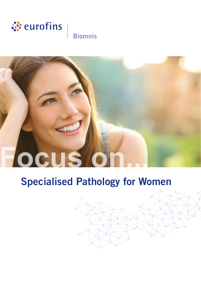

# **Biomnis**

# **Focus** o

# Specialised Pathology for Women

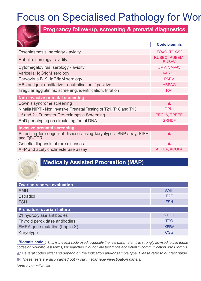# Focus on Specialised Pathology for Wor



**Pregnancy follow-up, screening & prenatal diagnostics**

|                                                                                   | <b>Code biomnis</b>           |
|-----------------------------------------------------------------------------------|-------------------------------|
| Toxoplasmosis: serology - avidity                                                 | TOXO, TOXAV                   |
| Rubella: serology - avidity                                                       | RUBEO, RUBEM,<br><b>RUBAV</b> |
| Cytomegalovirus: serology - avidity                                               | CMV, CMVAV                    |
| Varicella: IgG/IgM serology                                                       | <b>VARZO</b>                  |
| Parvovirus B19: IgG/IgM serology                                                  | <b>PARV</b>                   |
| HBs antigen: qualitative - neutralisation if positive                             | <b>HBSAG</b>                  |
| Irregular agglutinins: screening, identification, titration                       | <b>RAI</b>                    |
| Non-invasive prenatal screening                                                   |                               |
| Down's syndrome screening                                                         |                               |
| Ninalia NIPT - Non Invasive Prenatal Testing of T21, T18 and T13                  | <b>DPNI</b>                   |
| 1 <sup>st</sup> and 2 <sup>nd</sup> Trimester Pre-eclampsia Screening             | PECLA, TPREE                  |
| RhD genotyping on circulating foetal DNA                                          | <b>GRHDF</b>                  |
| <b>Invasive prenatal screening</b>                                                |                               |
| Screening for congenital diseases using karyotypes, SNP-array, FISH<br>and OF-PCR |                               |
| Genetic diagnosis of rare diseases                                                |                               |
| AFP and acetylcholinesterase assay                                                | AFPLA, ACOLA                  |
|                                                                                   |                               |

### **Medically Assisted Procreation (MAP)**

| <b>Ovarian reserve evaluation</b> |                 |
|-----------------------------------|-----------------|
| <b>AMH</b>                        | <b>AMH</b>      |
| Estradiol                         | E <sub>2F</sub> |
| <b>FSH</b>                        | <b>FSH</b>      |
| <b>Premature ovarian failure</b>  |                 |
| 21 hydroxylase antibodies         | 210H            |
| Thyroid peroxidase antibodies     | <b>TPO</b>      |
| FMRA gene mutation (fragile X)    | <b>XFRA</b>     |
| Karyotype                         | <b>CSG</b>      |

**Biomnis code** : *This is the test code used to identify the test parameter. It is strongly advised to use these codes on your request forms, for searches in our online test guide and when in communication with Biomnis.*

*: Several codes exist and depend on the indication and/or sample type. Please refer to our test guide.*

*: These tests are also carried out in our miscarriage investigation panels.*

*\*Non-exhaustive list*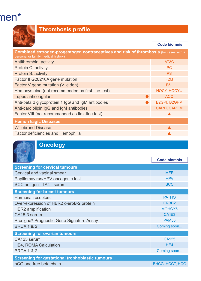# $\mathsf{nen}^*$



# **Thrombosis profile**

|                                                                                                                              | <b>Code biomnis</b> |
|------------------------------------------------------------------------------------------------------------------------------|---------------------|
| Combined estrogen-progestogen contraceptives and risk of thrombosis (for cases with a<br>personal or family medical history) |                     |
| Antithrombin: activity                                                                                                       | AT <sub>3</sub> C   |
| Protein C: activity                                                                                                          | <b>PC</b>           |
| Protein S: activity                                                                                                          | <b>PS</b>           |
| Factor II G20210A gene mutation                                                                                              | F <sub>2</sub> M    |
| Factor V gene mutation (V leiden)                                                                                            | F <sub>5</sub> L    |
| Homocysteine (not recommended as first-line test)                                                                            | <b>HOCY, HOCYU</b>  |
| Lupus anticoagulant                                                                                                          | <b>ACC</b>          |
| Anti-beta 2 glycoprotein 1 lgG and IgM antibodies                                                                            | B2GPI, B2GPM        |
| Anti-cardiolipin IgG and IgM antibodies                                                                                      | <b>CARD, CARDM</b>  |
| Factor VIII (not recommended as first-line test)                                                                             |                     |
| <b>Hemorrhagic Diseases</b>                                                                                                  |                     |
| <b>Willebrand Disease</b>                                                                                                    |                     |
| Factor deficiencies and Hemophilia                                                                                           |                     |



# **Oncology**

|                                                        | Code biomnis           |
|--------------------------------------------------------|------------------------|
| <b>Screening for cervical tumours</b>                  |                        |
| Cervical and vaginal smear                             | <b>MFR</b>             |
| Papillomavirus/HPV oncogenic test                      | <b>HPV</b>             |
| SCC antigen - TA4 - serum                              | <b>SCC</b>             |
| <b>Screening for breast tumours</b>                    |                        |
| Hormonal receptors                                     | <b>PATHO</b>           |
| Over-expression of HER2 c-erbB-2 protein               | FRBB <sub>2</sub>      |
| <b>HER2</b> amplification                              | MOHCY5                 |
| CA15-3 serum                                           | CA153                  |
| Prosigna <sup>®</sup> Prognostic Gene Signature Assay  | <b>PAM50</b>           |
| <b>BRCA 1 &amp; 2</b>                                  | Coming soon            |
| <b>Screening for ovarian tumours</b>                   |                        |
| CA125 serum                                            | <b>CA125</b>           |
| <b>HE4, ROMA Calculation</b>                           | HF4                    |
| <b>BRCA 1 &amp; 2</b>                                  | Coming soon            |
| <b>Screening for gestational trophoblastic tumours</b> |                        |
| hCG and free beta chain                                | <b>BHCG, HCGT, HCG</b> |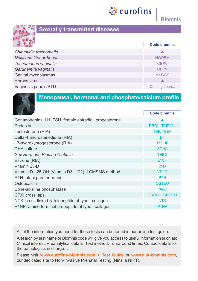



#### **Sexually transmitted diseases**

|                       | <b>Code biomnis</b> |
|-----------------------|---------------------|
| Chlamydia trachomatis |                     |
| Neisseria Gonorrhoeae | <b>NGOBM</b>        |
| Trichomonas vaginalis | <b>CBPV</b>         |
| Gardnerella vaginalis | <b>CBPV</b>         |
| Genital mycoplasmas   | <b>MYCGE</b>        |
| Herpes virus          |                     |
| Vaginosis panels/STD  | Coming soon         |



#### **Menopausal, hormonal and phosphate/calcium profile**

|                                                        | <b>Code biomnis</b> |
|--------------------------------------------------------|---------------------|
| Gonadotropins: LH, FSH, female estradiol, progesterone |                     |
| Prolactin                                              | PROL, TMP494        |
| Testosterone (RIA)                                     | TEF, TBEF           |
| Delta-4 androstenedione (RIA)                          | D <sub>4</sub>      |
| 17-hydroxyprogesterone (RIA)                           | 17OHP               |
| DHA sulfate                                            | <b>SDHA</b>         |
| Sex Hormone Binding Globulin                           | <b>TEBG</b>         |
| Estrone (RIA)                                          | E <sub>1</sub> CH   |
| Vitamin 25-D                                           | 25D                 |
| Vitamin D - 25-OH (Vitamin D3 + D2)- LCMSMS method     | <b>VDLC</b>         |
| PTH-Intact parathormone                                | <b>PTH</b>          |
| Osteocalcin                                            | <b>OSTEO</b>        |
| Bone-alkaline phosphatase                              | <b>PALO</b>         |
| CTX: cross laps                                        | <b>CROSS, CROSU</b> |
| NTX: cross-linked N-telopeptide of type I collagen     | <b>NTX</b>          |
| P1NP: amino-terminal propeptide of type I collagen     | P <sub>1</sub> NP   |
|                                                        |                     |

All of the information you need for these tests can be found in our online test guide.

A search by test name or Biomnis code will give you access to useful information such as: Clinical interest, Preanalytical details, Test method, Turnaround times, Contact details for the pathologists in charge…

Please visit **www.eurofins-biomnis.com > Test Guide** or **www.nipt-biomnis.com**, our dedicated site to Non-Invasive Prenatal Testing (Ninalia NIPT).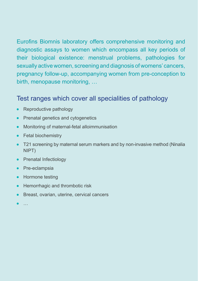Eurofins Biomnis laboratory offers comprehensive monitoring and diagnostic assays to women which encompass all key periods of their biological existence: menstrual problems, pathologies for sexually active women, screening and diagnosis of womens' cancers, pregnancy follow-up, accompanying women from pre-conception to birth, menopause monitoring, …

## Test ranges which cover all specialities of pathology

- Reproductive pathology  $\bullet$
- Prenatal genetics and cytogenetics  $\bullet$
- Monitoring of maternal-fetal alloimmunisation
- Fetal biochemistry
- T21 screening by maternal serum markers and by non-invasive method (Ninalia NIPT)
- Prenatal Infectiology
- Pre-eclampsia
- Hormone testing
- $\bullet$ Hemorrhagic and thrombotic risk
- **•** Breast, ovarian, uterine, cervical cancers
-